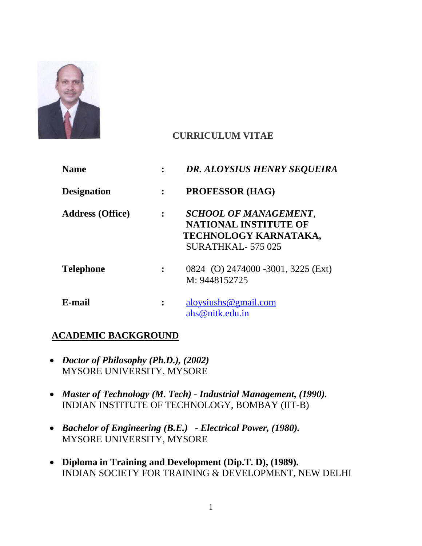

# **CURRICULUM VITAE**

| <b>Name</b>             |                | DR. ALOYSIUS HENRY SEQUEIRA                                                                               |
|-------------------------|----------------|-----------------------------------------------------------------------------------------------------------|
| <b>Designation</b>      |                | <b>PROFESSOR (HAG)</b>                                                                                    |
| <b>Address (Office)</b> | $\ddot{\cdot}$ | SCHOOL OF MANAGEMENT,<br><b>NATIONAL INSTITUTE OF</b><br>TECHNOLOGY KARNATAKA,<br><b>SURATHKAL-575025</b> |
| <b>Telephone</b>        |                | 0824 (O) 2474000 -3001, 3225 (Ext)<br>M: 9448152725                                                       |
| E-mail                  | :              | aloysiushs@gmail.com<br>ahs@nitk.edu.in                                                                   |

## **ACADEMIC BACKGROUND**

- *Doctor of Philosophy (Ph.D.), (2002)* MYSORE UNIVERSITY, MYSORE
- *Master of Technology (M. Tech) - Industrial Management, (1990).* INDIAN INSTITUTE OF TECHNOLOGY, BOMBAY (IIT-B)
- *Bachelor of Engineering (B.E.) - Electrical Power, (1980).* MYSORE UNIVERSITY, MYSORE
- **Diploma in Training and Development (Dip.T. D), (1989).** INDIAN SOCIETY FOR TRAINING & DEVELOPMENT, NEW DELHI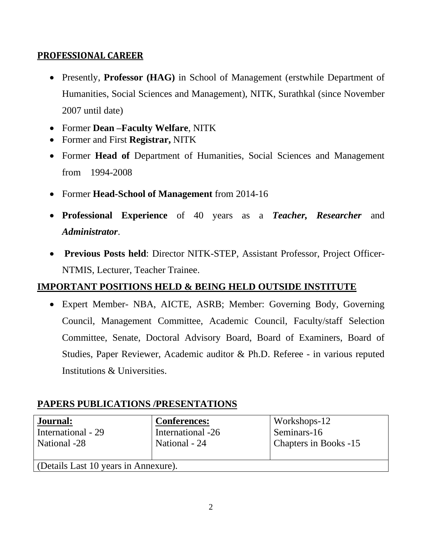### **PROFESSIONAL CAREER**

- Presently, **Professor (HAG)** in School of Management (erstwhile Department of Humanities, Social Sciences and Management), NITK, Surathkal (since November 2007 until date)
- Former **Dean –Faculty Welfare**, NITK
- Former and First **Registrar,** NITK
- Former **Head of** Department of Humanities, Social Sciences and Management from 1994-2008
- Former **Head-School of Management** from 2014-16
- **Professional Experience** of 40 years as a *Teacher, Researcher* and *Administrator*.
- **Previous Posts held**: Director NITK-STEP, Assistant Professor, Project Officer-NTMIS, Lecturer, Teacher Trainee.

## **IMPORTANT POSITIONS HELD & BEING HELD OUTSIDE INSTITUTE**

• Expert Member- NBA, AICTE, ASRB; Member: Governing Body, Governing Council, Management Committee, Academic Council, Faculty/staff Selection Committee, Senate, Doctoral Advisory Board, Board of Examiners, Board of Studies, Paper Reviewer, Academic auditor & Ph.D. Referee - in various reputed Institutions & Universities.

## **PAPERS PUBLICATIONS /PRESENTATIONS**

| Journal:<br>International - 29<br>National -28 | <b>Conferences:</b><br>International -26<br>National - 24 | Workshops-12<br>Seminars-16<br>Chapters in Books -15 |  |  |
|------------------------------------------------|-----------------------------------------------------------|------------------------------------------------------|--|--|
|                                                |                                                           |                                                      |  |  |
| Colorails Last 10 years in Annexure).          |                                                           |                                                      |  |  |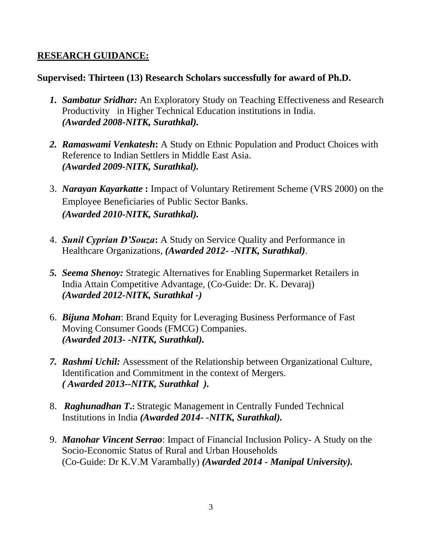### **RESEARCH GUIDANCE:**

### **Supervised: Thirteen (13) Research Scholars successfully for award of Ph.D.**

- *1. Sambatur Sridhar:* An Exploratory Study on Teaching Effectiveness and Research Productivity in Higher Technical Education institutions in India. *(Awarded 2008-NITK, Surathkal).*
- *2. Ramaswami Venkatesh***:** A Study on Ethnic Population and Product Choices with Reference to Indian Settlers in Middle East Asia. *(Awarded 2009-NITK, Surathkal).*
- 3. *Narayan Kayarkatte* **:** Impact of Voluntary Retirement Scheme (VRS 2000) on the Employee Beneficiaries of Public Sector Banks. *(Awarded 2010-NITK, Surathkal).*
- 4. *Sunil Cyprian D'Souza***:** A Study on Service Quality and Performance in Healthcare Organizations, *(Awarded 2012- -NITK, Surathkal)*.
- *5. Seema Shenoy:* Strategic Alternatives for Enabling Supermarket Retailers in India Attain Competitive Advantage, (Co-Guide: Dr. K. Devaraj) *(Awarded 2012-NITK, Surathkal -)*
- 6. *Bijuna Mohan*: Brand Equity for Leveraging Business Performance of Fast Moving Consumer Goods (FMCG) Companies. *(Awarded 2013- -NITK, Surathkal).*
- *7. Rashmi Uchil:* Assessment of the Relationship between Organizational Culture, Identification and Commitment in the context of Mergers. *( Awarded 2013--NITK, Surathkal ).*
- 8. *Raghunadhan T***.:** Strategic Management in Centrally Funded Technical Institutions in India *(Awarded 2014- -NITK, Surathkal).*
- 9. *Manohar Vincent Serrao*: Impact of Financial Inclusion Policy- A Study on the Socio-Economic Status of Rural and Urban Households (Co-Guide: Dr K.V.M Varambally) *(Awarded 2014 - Manipal University).*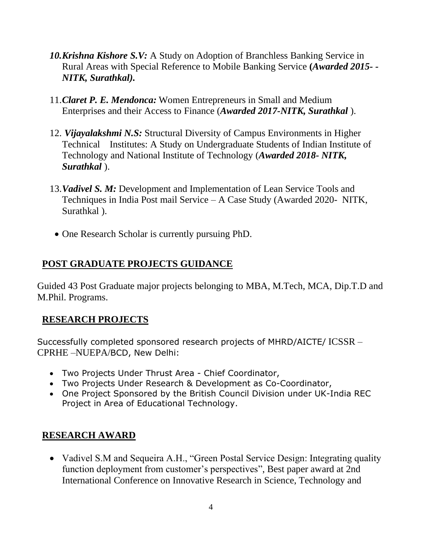- *10.Krishna Kishore S.V:* A Study on Adoption of Branchless Banking Service in Rural Areas with Special Reference to Mobile Banking Service **(***Awarded 2015- - NITK, Surathkal).*
- 11.*Claret P. E. Mendonca:* Women Entrepreneurs in Small and Medium Enterprises and their Access to Finance (*Awarded 2017-NITK, Surathkal* ).
- 12. *Vijayalakshmi N.S:* Structural Diversity of Campus Environments in Higher Technical Institutes: A Study on Undergraduate Students of Indian Institute of Technology and National Institute of Technology (*Awarded 2018- NITK, Surathkal* ).
- 13.*Vadivel S. M:* Development and Implementation of Lean Service Tools and Techniques in India Post mail Service – A Case Study (Awarded 2020- NITK, Surathkal).
- One Research Scholar is currently pursuing PhD.

# **POST GRADUATE PROJECTS GUIDANCE**

Guided 43 Post Graduate major projects belonging to MBA, M.Tech, MCA, Dip.T.D and M.Phil. Programs.

## **RESEARCH PROJECTS**

Successfully completed sponsored research projects of MHRD/AICTE/ ICSSR – CPRHE –NUEPA/BCD, New Delhi:

- Two Projects Under Thrust Area Chief Coordinator,
- Two Projects Under Research & Development as Co-Coordinator,
- One Project Sponsored by the British Council Division under UK-India REC Project in Area of Educational Technology.

## **RESEARCH AWARD**

• Vadivel S.M and Sequeira A.H., "Green Postal Service Design: Integrating quality function deployment from customer's perspectives", Best paper award at 2nd International Conference on Innovative Research in Science, Technology and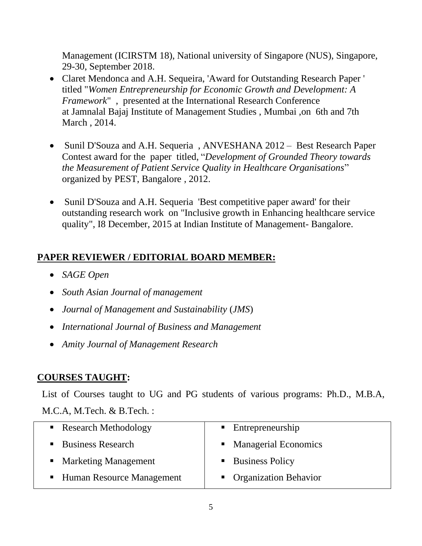Management (ICIRSTM 18), National university of Singapore (NUS), Singapore, 29-30, September 2018.

- Claret Mendonca and A.H. Sequeira, 'Award for Outstanding Research Paper ' titled "*Women Entrepreneurship for Economic Growth and Development: A Framework*" , presented at the International Research Conference at Jamnalal Bajaj Institute of Management Studies , Mumbai ,on 6th and 7th March , 2014.
- Sunil D'Souza and A.H. Sequeria, ANVESHANA 2012 Best Research Paper Contest award for the paper titled, "*Development of Grounded Theory towards the Measurement of Patient Service Quality in Healthcare Organisations*" organized by PEST, Bangalore , 2012.
- Sunil D'Souza and A.H. Sequeria 'Best competitive paper award' for their outstanding research work on "Inclusive growth in Enhancing healthcare service quality", I8 December, 2015 at Indian Institute of Management- Bangalore.

# **PAPER REVIEWER / EDITORIAL BOARD MEMBER:**

- *SAGE Open*
- *South Asian Journal of management*
- *Journal of Management and Sustainability* (*JMS*)
- *International Journal of Business and Management*
- *Amity Journal of Management Research*

# **COURSES TAUGHT:**

 List of Courses taught to UG and PG students of various programs: Ph.D., M.B.A, M.C.A, M.Tech. & B.Tech. :

| • Research Methodology      | • Entrepreneurship      |
|-----------------------------|-------------------------|
| • Business Research         | • Managerial Economics  |
| • Marketing Management      | • Business Policy       |
| • Human Resource Management | • Organization Behavior |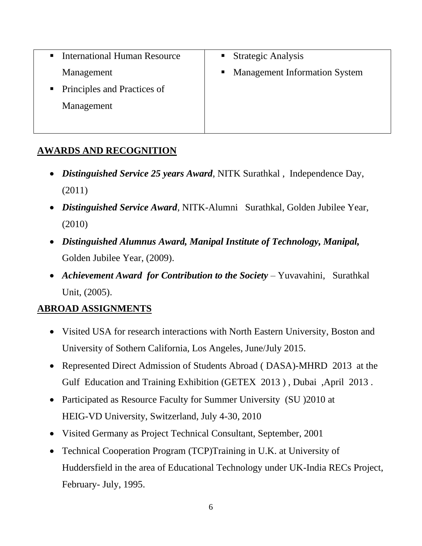| <b>International Human Resource</b> | ■ Strategic Analysis                 |
|-------------------------------------|--------------------------------------|
| Management                          | <b>Management Information System</b> |
| • Principles and Practices of       |                                      |
| Management                          |                                      |
|                                     |                                      |

### **AWARDS AND RECOGNITION**

- *Distinguished Service 25 years Award*, NITK Surathkal , Independence Day, (2011)
- *Distinguished Service Award*, NITK-Alumni Surathkal, Golden Jubilee Year, (2010)
- *Distinguished Alumnus Award, Manipal Institute of Technology, Manipal,* Golden Jubilee Year, (2009).
- *Achievement Award for Contribution to the Society* Yuvavahini, Surathkal Unit, (2005).

## **ABROAD ASSIGNMENTS**

- Visited USA for research interactions with North Eastern University, Boston and University of Sothern California, Los Angeles, June/July 2015.
- Represented Direct Admission of Students Abroad ( DASA)-MHRD 2013 at the Gulf Education and Training Exhibition (GETEX 2013 ) , Dubai ,April 2013 .
- Participated as Resource Faculty for Summer University (SU )2010 at HEIG-VD University, Switzerland, July 4-30, 2010
- Visited Germany as Project Technical Consultant, September, 2001
- Technical Cooperation Program (TCP)Training in U.K. at University of Huddersfield in the area of Educational Technology under UK-India RECs Project, February- July, 1995.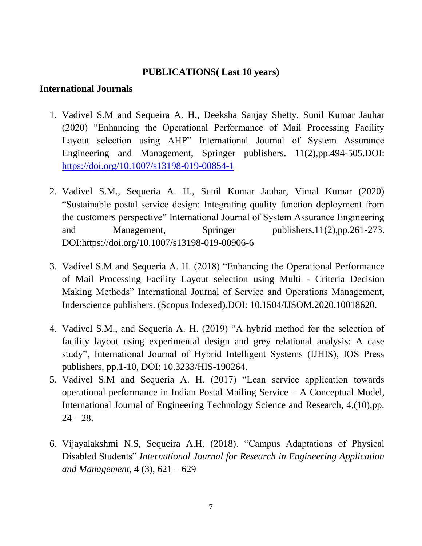#### **PUBLICATIONS( Last 10 years)**

#### **International Journals**

- 1. Vadivel S.M and Sequeira A. H., Deeksha Sanjay Shetty, Sunil Kumar Jauhar (2020) "Enhancing the Operational Performance of Mail Processing Facility Layout selection using AHP" International Journal of System Assurance Engineering and Management, Springer publishers. 11(2),pp.494-505.DOI: <https://doi.org/10.1007/s13198-019-00854-1>
- 2. Vadivel S.M., Sequeria A. H., Sunil Kumar Jauhar, Vimal Kumar (2020) "Sustainable postal service design: Integrating quality function deployment from the customers perspective" International Journal of System Assurance Engineering and Management, Springer publishers.11(2),pp.261-273. DOI:https://doi.org/10.1007/s13198-019-00906-6
- 3. Vadivel S.M and Sequeria A. H. (2018) "Enhancing the Operational Performance of Mail Processing Facility Layout selection using Multi - Criteria Decision Making Methods" International Journal of Service and Operations Management, Inderscience publishers. (Scopus Indexed).DOI: 10.1504/IJSOM.2020.10018620.
- 4. Vadivel S.M., and Sequeria A. H. (2019) "A hybrid method for the selection of facility layout using experimental design and grey relational analysis: A case study", International Journal of Hybrid Intelligent Systems (IJHIS), IOS Press publishers, pp.1-10, DOI: 10.3233/HIS-190264.
- 5. Vadivel S.M and Sequeria A. H. (2017) "Lean service application towards operational performance in Indian Postal Mailing Service – A Conceptual Model, International Journal of Engineering Technology Science and Research, 4,(10),pp.  $24 - 28.$
- 6. Vijayalakshmi N.S, Sequeira A.H. (2018). "Campus Adaptations of Physical Disabled Students" *International Journal for Research in Engineering Application and Management*, 4 (3), 621 – 629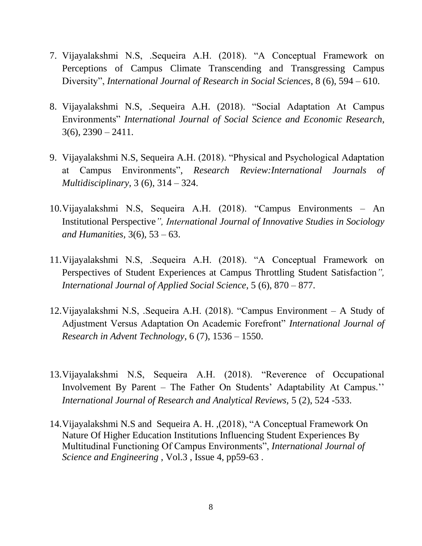- 7. Vijayalakshmi N.S, .Sequeira A.H. (2018). "A Conceptual Framework on Perceptions of Campus Climate Transcending and Transgressing Campus Diversity", *International Journal of Research in Social Sciences*, 8 (6), 594 – 610.
- 8. Vijayalakshmi N.S, .Sequeira A.H. (2018). "Social Adaptation At Campus Environments" *International Journal of Social Science and Economic Research,*   $3(6)$ ,  $2390 - 2411$ .
- 9. Vijayalakshmi N.S, Sequeira A.H. (2018). "Physical and Psychological Adaptation at Campus Environments", *Research Review:International Journals of Multidisciplinary,* 3 (6), 314 – 324.
- 10.Vijayalakshmi N.S, Sequeira A.H. (2018). "Campus Environments An Institutional Perspective*", International Journal of Innovative Studies in Sociology and Humanities,* 3(6), 53 – 63.
- 11.Vijayalakshmi N.S, .Sequeira A.H. (2018). "A Conceptual Framework on Perspectives of Student Experiences at Campus Throttling Student Satisfaction*", International Journal of Applied Social Science*, 5 (6), 870 – 877.
- 12.Vijayalakshmi N.S, .Sequeira A.H. (2018). "Campus Environment A Study of Adjustment Versus Adaptation On Academic Forefront" *International Journal of Research in Advent Technology*, 6 (7), 1536 – 1550.
- 13.Vijayalakshmi N.S, Sequeira A.H. (2018). "Reverence of Occupational Involvement By Parent – The Father On Students' Adaptability At Campus.'' *International Journal of Research and Analytical Reviews,* 5 (2), 524 -533.
- 14.Vijayalakshmi N.S and Sequeira A. H. ,(2018), "A Conceptual Framework On Nature Of Higher Education Institutions Influencing Student Experiences By Multitudinal Functioning Of Campus Environments", *International Journal of Science and Engineering* , Vol.3 , Issue 4, pp59-63 .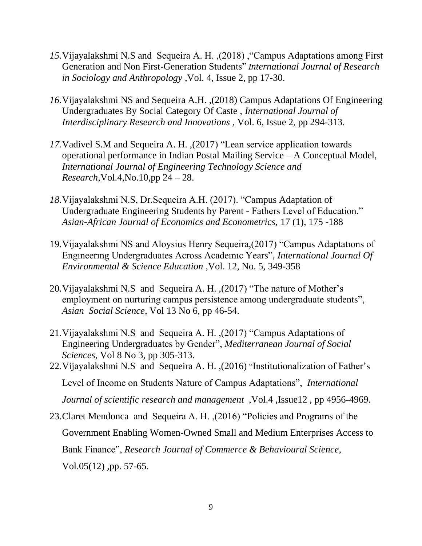- *15.*Vijayalakshmi N.S and Sequeira A. H. ,(2018) ,"Campus Adaptations among First Generation and Non First-Generation Students" *International Journal of Research in Sociology and Anthropology* ,Vol. 4, Issue 2, pp 17-30.
- *16.*Vijayalakshmi NS and Sequeira A.H. ,(2018) Campus Adaptations Of Engineering Undergraduates By Social Category Of Caste , *International Journal of Interdisciplinary Research and Innovations ,* Vol. 6, Issue 2, pp 294-313.
- *17.*Vadivel S.M and Sequeira A. H. ,(2017) "Lean service application towards operational performance in Indian Postal Mailing Service – A Conceptual Model, *International Journal of Engineering Technology Science and Research*,Vol.4,No.10,pp 24 – 28.
- *18.*Vijayalakshmi N.S, Dr.Sequeira A.H. (2017). "Campus Adaptation of Undergraduate Engineering Students by Parent - Fathers Level of Education." *Asian-African Journal of Economics and Econometrics,* 17 (1), 175 -188
- 19.Vijayalakshmi NS and Aloysius Henry Sequeira,(2017) "Campus Adaptatıons of Engıneerıng Undergraduates Across Academıc Years", *International Journal Of Environmental & Science Education* ,Vol. 12, No. 5, 349-358
- 20.Vijayalakshmi N.S and Sequeira A. H. ,(2017) "The nature of Mother's employment on nurturing campus persistence among undergraduate students", *Asian Social Science*, Vol 13 No 6, pp 46-54.
- 21.Vijayalakshmi N.S and Sequeira A. H. ,(2017) "Campus Adaptations of Engineering Undergraduates by Gender", *Mediterranean Journal of Social Sciences,* Vol 8 No 3, pp 305-313.
- 22.Vijayalakshmi N.S and Sequeira A. H. ,(2016) "Institutionalization of Father's Level of Income on Students Nature of Campus Adaptations", *International Journal of scientific research and management* ,Vol.4 ,Issue12 , pp 4956-4969.
- 23.Claret Mendonca and Sequeira A. H. ,(2016) "Policies and Programs of the Government Enabling Women-Owned Small and Medium Enterprises Access to Bank Finance", *Research Journal of Commerce & Behavioural Science*, Vol.05(12) ,pp. 57-65.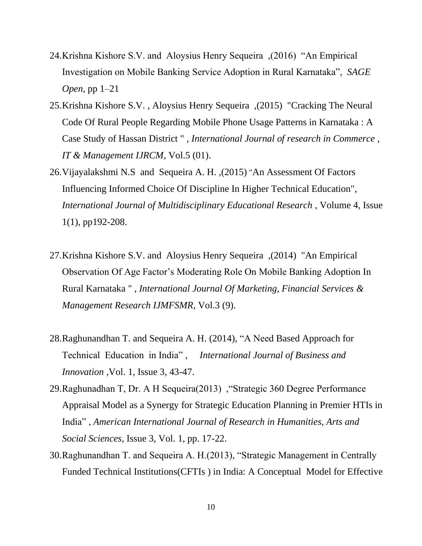- 24.Krishna Kishore S.V. and Aloysius Henry Sequeira ,(2016) "An Empirical Investigation on Mobile Banking Service Adoption in Rural Karnataka", *SAGE Open*, pp 1–21
- 25.Krishna Kishore S.V. , Aloysius Henry Sequeira ,(2015) "Cracking The Neural Code Of Rural People Regarding Mobile Phone Usage Patterns in Karnataka : A Case Study of Hassan District " , *International Journal of research in Commerce , IT & Management IJRCM*, Vol.5 (01).
- 26.Vijayalakshmi N.S and Sequeira A. H. ,(2015) "An Assessment Of Factors Influencing Informed Choice Of Discipline In Higher Technical Education", *International Journal of Multidisciplinary Educational Research* , Volume 4, Issue 1(1), pp192-208.
- 27.Krishna Kishore S.V. and Aloysius Henry Sequeira ,(2014) "An Empirical Observation Of Age Factor's Moderating Role On Mobile Banking Adoption In Rural Karnataka " , *International Journal Of Marketing, Financial Services & Management Research IJMFSMR*, Vol.3 (9).
- 28.Raghunandhan T. and Sequeira A. H. (2014), "A Need Based Approach for Technical Education in India" , *International Journal of Business and Innovation* ,Vol. 1, Issue 3, 43-47.
- 29.Raghunadhan T, Dr. A H Sequeira(2013) ,"Strategic 360 Degree Performance Appraisal Model as a Synergy for Strategic Education Planning in Premier HTIs in India" , *American International Journal of Research in Humanities, Arts and Social Sciences*, Issue 3, Vol. 1, pp. 17-22.
- 30.Raghunandhan T. and Sequeira A. H.(2013), "Strategic Management in Centrally Funded Technical Institutions(CFTIs ) in India: A Conceptual Model for Effective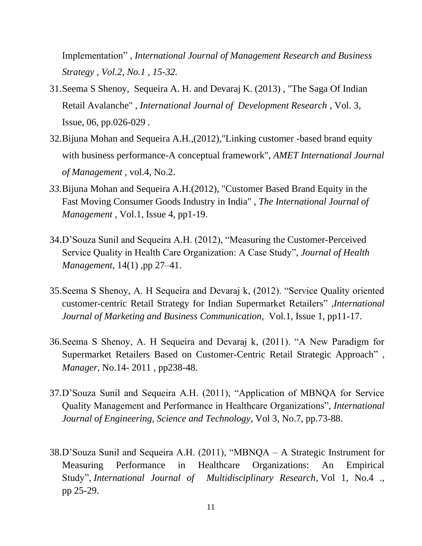Implementation" , *International Journal of Management Research and Business Strategy , Vol.2, No.1 , 15-32.* 

- 31.Seema S Shenoy, Sequeira A. H. and Devaraj K. (2013) , "The Saga Of Indian Retail Avalanche" , *International Journal of Development Research* , Vol. 3, Issue, 06, pp.026-029 .
- 32.Bijuna Mohan and Sequeira A.H.,(2012),"Linking customer -based brand equity with business performance-A conceptual framework", *AMET International Journal of Management* , vol.4, No.2.
- *33.*Bijuna Mohan and Sequeira A.H.(2012), "Customer Based Brand Equity in the Fast Moving Consumer Goods Industry in India" , *The International Journal of Management ,* Vol.1, Issue 4, pp1-19.
- 34.D'Souza Sunil and Sequeira A.H. (2012), "Measuring the Customer-Perceived Service Quality in Health Care Organization: A Case Study", *Journal of Health Management*, 14(1) ,pp 27–41.
- 35.Seema S Shenoy, A. H Sequeira and Devaraj k, (2012). "Service Quality oriented customer-centric Retail Strategy for Indian Supermarket Retailers" ,*International Journal of Marketing and Business Communication,* Vol.1, Issue 1, pp11-17.
- 36.Seema S Shenoy, A. H Sequeira and Devaraj k, (2011). "A New Paradigm for Supermarket Retailers Based on Customer-Centric Retail Strategic Approach" , *Manager*, No.14- 2011 , pp238-48.
- 37.D'Souza Sunil and Sequeira A.H. (2011), "Application of MBNQA for Service Quality Management and Performance in Healthcare Organizations", *International Journal of Engineering, Science and Technology*, Vol 3, No.7, pp.73-88.
- 38.D'Souza Sunil and Sequeira A.H. (2011), "MBNQA A Strategic Instrument for Measuring Performance in Healthcare Organizations: An Empirical Study", *International Journal of Multidisciplinary Research*, Vol 1, No.4 ., pp 25-29.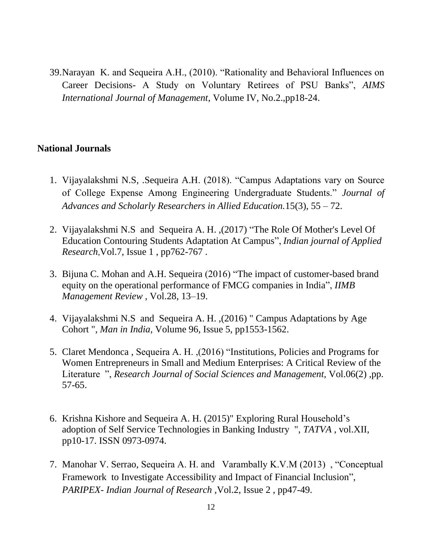39.Narayan K. and Sequeira A.H., (2010). "Rationality and Behavioral Influences on Career Decisions- A Study on Voluntary Retirees of PSU Banks", *AIMS International Journal of Management*, Volume IV, No.2.,pp18-24.

#### **National Journals**

- 1. Vijayalakshmi N.S, .Sequeira A.H. (2018). "Campus Adaptations vary on Source of College Expense Among Engineering Undergraduate Students." *Journal of Advances and Scholarly Researchers in Allied Education.*15(3), 55 – 72.
- 2. Vijayalakshmi N.S and Sequeira A. H. ,(2017) "The Role Of Mother's Level Of Education Contouring Students Adaptation At Campus", *Indian journal of Applied Research*,Vol.7, Issue 1 , pp762-767 .
- 3. Bijuna C. Mohan and A.H. Sequeira (2016) "The impact of customer-based brand equity on the operational performance of FMCG companies in India", *IIMB Management Review* , Vol.28, 13–19.
- 4. Vijayalakshmi N.S and Sequeira A. H. ,(2016) " Campus Adaptations by Age Cohort ", *Man in India,* Volume 96, Issue 5, pp1553-1562.
- 5. Claret Mendonca , Sequeira A. H. ,(2016) "Institutions, Policies and Programs for Women Entrepreneurs in Small and Medium Enterprises: A Critical Review of the Literature ", *Research Journal of Social Sciences and Management,* Vol.06(2) ,pp. 57-65.
- 6. Krishna Kishore and Sequeira A. H. (2015)" Exploring Rural Household's adoption of Self Service Technologies in Banking Industry ", *TATVA* , vol.XII, pp10-17. ISSN 0973-0974.
- 7. Manohar V. Serrao, Sequeira A. H. and Varambally K.V.M (2013) , "Conceptual Framework to Investigate Accessibility and Impact of Financial Inclusion", *PARIPEX- Indian Journal of Research* ,Vol.2, Issue 2 , pp47-49.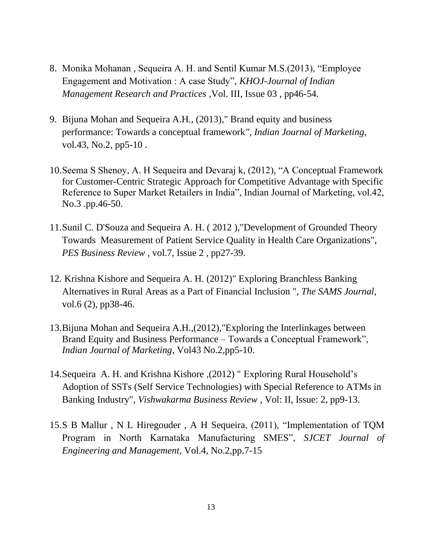- 8. Monika Mohanan , Sequeira A. H. and Sentil Kumar M.S.(2013), "Employee Engagement and Motivation : A case Study", *KHOJ-Journal of Indian Management Research and Practices ,*Vol. III, Issue 03 , pp46-54.
- 9. Bijuna Mohan and Sequeira A.H., (2013)," Brand equity and business performance: Towards a conceptual framework*", Indian Journal of Marketing,* vol.43, No.2, pp5-10 .
- 10.Seema S Shenoy, A. H Sequeira and Devaraj k, (2012), "A Conceptual Framework for Customer-Centric Strategic Approach for Competitive Advantage with Specific Reference to Super Market Retailers in India", Indian Journal of Marketing, vol.42, No.3 .pp.46-50.
- 11.Sunil C. D'Souza and Sequeira A. H. ( 2012 ),"Development of Grounded Theory Towards Measurement of Patient Service Quality in Health Care Organizations", *PES Business Review* , vol.7, Issue 2 , pp27-39.
- 12. Krishna Kishore and Sequeira A. H. (2012)" Exploring Branchless Banking Alternatives in Rural Areas as a Part of Financial Inclusion ", *The SAMS Journal*, vol.6 (2), pp38-46.
- 13.Bijuna Mohan and Sequeira A.H.,(2012),"Exploring the Interlinkages between Brand Equity and Business Performance – Towards a Conceptual Framework", *Indian Journal of Marketing*, Vol43 No.2,pp5-10.
- 14.Sequeira A. H. and Krishna Kishore ,(2012) " Exploring Rural Household's Adoption of SSTs (Self Service Technologies) with Special Reference to ATMs in Banking Industry", *Vishwakarma Business Review* , Vol: II, Issue: 2, pp9-13.
- 15.S B Mallur , N L Hiregouder , A H Sequeira, (2011), "Implementation of TQM Program in North Karnataka Manufacturing SMES", *SJCET Journal of Engineering and Management,* Vol.4, No.2,pp.7-15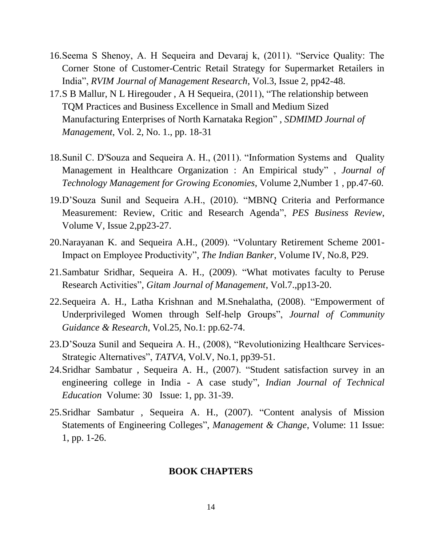- 16.Seema S Shenoy, A. H Sequeira and Devaraj k, (2011). "Service Quality: The Corner Stone of Customer-Centric Retail Strategy for Supermarket Retailers in India", *RVIM Journal of Management Research*, Vol.3, Issue 2, pp42-48.
- 17.S B Mallur, N L Hiregouder , A H Sequeira, (2011), "The relationship between TQM Practices and Business Excellence in Small and Medium Sized Manufacturing Enterprises of North Karnataka Region" , *SDMIMD Journal of Management*, Vol. 2, No. 1., pp. 18-31
- 18.Sunil C. D'Souza and Sequeira A. H., (2011). "Information Systems and Quality Management in Healthcare Organization : An Empirical study" , *Journal of Technology Management for Growing Economies,* Volume 2,Number 1 , pp.47-60.
- 19.D'Souza Sunil and Sequeira A.H., (2010). "MBNQ Criteria and Performance Measurement: Review, Critic and Research Agenda", *PES Business Review*, Volume V, Issue 2,pp23-27.
- 20.Narayanan K. and Sequeira A.H., (2009). "Voluntary Retirement Scheme 2001- Impact on Employee Productivity", *The Indian Banker*, Volume IV, No.8, P29.
- 21.Sambatur Sridhar, Sequeira A. H., (2009). "What motivates faculty to Peruse Research Activities", *Gitam Journal of Management*, Vol.7.,pp13-20.
- 22.Sequeira A. H., Latha Krishnan and M.Snehalatha, (2008). "Empowerment of Underprivileged Women through Self-help Groups", *Journal of Community Guidance & Research*, Vol.25, No.1: pp.62-74.
- 23.D'Souza Sunil and Sequeira A. H., (2008), "Revolutionizing Healthcare Services-Strategic Alternatives", *TATVA*, Vol.V, No.1, pp39-51.
- 24.Sridhar Sambatur , Sequeira A. H., (2007). ["Student satisfaction survey in an](http://www.indiancitationindex.com/full_record.aspx?ID=1254533)  [engineering college in India -](http://www.indiancitationindex.com/full_record.aspx?ID=1254533) A case study", *Indian Journal of Technical Education* Volume: 30 Issue: 1, pp. 31-39.
- 25.Sridhar Sambatur , Sequeira A. H., (2007). ["Content analysis of Mission](http://www.indiancitationindex.com/full_record.aspx?ID=155568)  [Statements of Engineering Colleges"](http://www.indiancitationindex.com/full_record.aspx?ID=155568), *Management & Change*, Volume: 11 Issue: 1, pp. 1-26.

#### **BOOK CHAPTERS**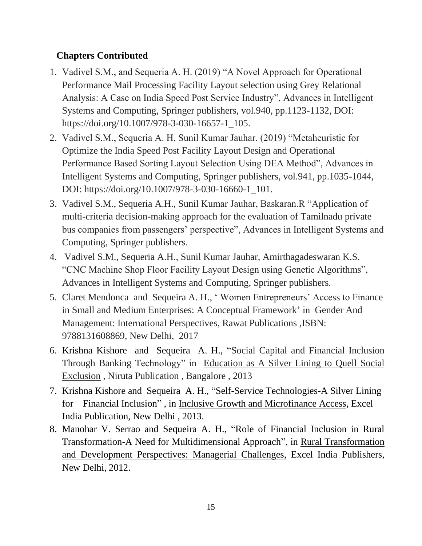# **Chapters Contributed**

- 1. Vadivel S.M., and Sequeria A. H. (2019) "A Novel Approach for Operational Performance Mail Processing Facility Layout selection using Grey Relational Analysis: A Case on India Speed Post Service Industry", Advances in Intelligent Systems and Computing, Springer publishers, vol.940, pp.1123-1132, DOI: https://doi.org/10.1007/978-3-030-16657-1\_105.
- 2. Vadivel S.M., Sequeria A. H, Sunil Kumar Jauhar. (2019) "Metaheuristic for Optimize the India Speed Post Facility Layout Design and Operational Performance Based Sorting Layout Selection Using DEA Method", Advances in Intelligent Systems and Computing, Springer publishers, vol.941, pp.1035-1044, DOI: https://doi.org/10.1007/978-3-030-16660-1\_101.
- 3. Vadivel S.M., Sequeria A.H., Sunil Kumar Jauhar, Baskaran.R "Application of multi-criteria decision-making approach for the evaluation of Tamilnadu private bus companies from passengers' perspective", Advances in Intelligent Systems and Computing, Springer publishers.
- 4. Vadivel S.M., Sequeria A.H., Sunil Kumar Jauhar, Amirthagadeswaran K.S. "CNC Machine Shop Floor Facility Layout Design using Genetic Algorithms", Advances in Intelligent Systems and Computing, Springer publishers.
- 5. Claret Mendonca and Sequeira A. H., ' Women Entrepreneurs' Access to Finance in Small and Medium Enterprises: A Conceptual Framework' in Gender And Management: International Perspectives, Rawat Publications ,ISBN: 9788131608869, New Delhi, 2017
- 6. Krishna Kishore and Sequeira A. H., "Social Capital and Financial Inclusion Through Banking Technology" in Education as A Silver Lining to Quell Social Exclusion , Niruta Publication , Bangalore , 2013
- 7. Krishna Kishore and Sequeira A. H., "Self-Service Technologies-A Silver Lining for Financial Inclusion" , in Inclusive Growth and Microfinance Access, Excel India Publication, New Delhi , 2013.
- 8. Manohar V. Serrao and Sequeira A. H., "Role of Financial Inclusion in Rural Transformation-A Need for Multidimensional Approach", in Rural Transformation and Development Perspectives: Managerial Challenges, Excel India Publishers, New Delhi, 2012.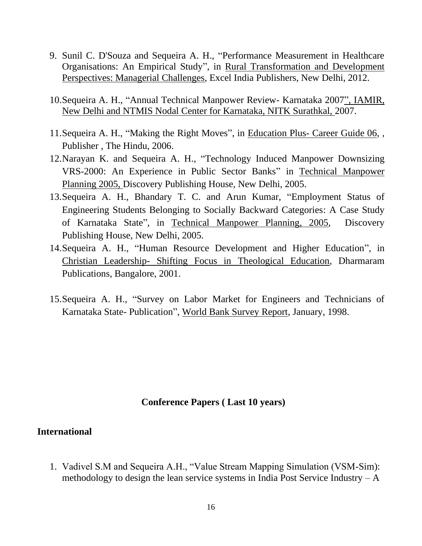- 9. Sunil C. D'Souza and Sequeira A. H., "Performance Measurement in Healthcare Organisations: An Empirical Study", in Rural Transformation and Development Perspectives: Managerial Challenges, Excel India Publishers, New Delhi, 2012.
- 10.Sequeira A. H., "Annual Technical Manpower Review- Karnataka 2007", IAMIR, New Delhi and NTMIS Nodal Center for Karnataka, NITK Surathkal, 2007.
- 11.Sequeira A. H., "Making the Right Moves", in Education Plus- Career Guide 06, , Publisher , The Hindu, 2006.
- 12.Narayan K. and Sequeira A. H., ["Technology Induced Manpower Downsizing](http://books.google.com/books?hl=en&lr=&id=o_uBURxzJqoC&oi=fnd&pg=PA218&dq=dr+aloysius+sequeira+nitk+surathkal&ots=_moRkHNyep&sig=_QO7LR6rQkjsSPynGrQZAVFcgY4)  [VRS-2000: An Experience in Public Sector Banks"](http://books.google.com/books?hl=en&lr=&id=o_uBURxzJqoC&oi=fnd&pg=PA218&dq=dr+aloysius+sequeira+nitk+surathkal&ots=_moRkHNyep&sig=_QO7LR6rQkjsSPynGrQZAVFcgY4) in Technical Manpower Planning 2005, Discovery Publishing House, New Delhi, 2005.
- 13.Sequeira A. H., Bhandary T. C. and Arun Kumar, ["Employment Status of](http://books.google.com/books?hl=en&lr=&id=o_uBURxzJqoC&oi=fnd&pg=PA110&dq=dr+aloysius+sequeira+nitk+surathkal&ots=_moRkHNyep&sig=ow-kx5zvJufwwwu5w-X-pMjbc3Q)  [Engineering Students Belonging to Socially Backward Categories:](http://books.google.com/books?hl=en&lr=&id=o_uBURxzJqoC&oi=fnd&pg=PA110&dq=dr+aloysius+sequeira+nitk+surathkal&ots=_moRkHNyep&sig=ow-kx5zvJufwwwu5w-X-pMjbc3Q) A Case Study of Karnataka State", in Technical Manpower Planning, 2005, Discovery Publishing House, New Delhi, 2005.
- 14.Sequeira A. H., "Human Resource Development and Higher Education", in Christian Leadership- Shifting Focus in Theological Education, Dharmaram Publications, Bangalore, 2001.
- 15.Sequeira A. H., "Survey on Labor Market for Engineers and Technicians of Karnataka State- Publication", World Bank Survey Report, January, 1998.

#### **Conference Papers ( Last 10 years)**

#### **International**

1. Vadivel S.M and Sequeira A.H., "Value Stream Mapping Simulation (VSM-Sim): methodology to design the lean service systems in India Post Service Industry  $-A$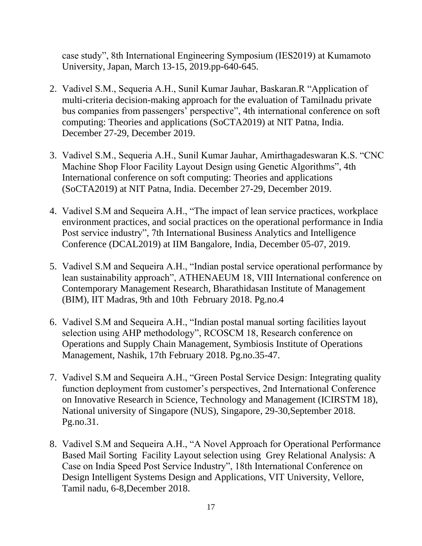case study", 8th International Engineering Symposium (IES2019) at Kumamoto University, Japan, March 13-15, 2019.pp-640-645.

- 2. Vadivel S.M., Sequeria A.H., Sunil Kumar Jauhar, Baskaran.R "Application of multi-criteria decision-making approach for the evaluation of Tamilnadu private bus companies from passengers' perspective", 4th international conference on soft computing: Theories and applications (SoCTA2019) at NIT Patna, India. December 27-29, December 2019.
- 3. Vadivel S.M., Sequeria A.H., Sunil Kumar Jauhar, Amirthagadeswaran K.S. "CNC Machine Shop Floor Facility Layout Design using Genetic Algorithms", 4th International conference on soft computing: Theories and applications (SoCTA2019) at NIT Patna, India. December 27-29, December 2019.
- 4. Vadivel S.M and Sequeira A.H., "The impact of lean service practices, workplace environment practices, and social practices on the operational performance in India Post service industry", 7th International Business Analytics and Intelligence Conference (DCAL2019) at IIM Bangalore, India, December 05-07, 2019.
- 5. Vadivel S.M and Sequeira A.H., "Indian postal service operational performance by lean sustainability approach", ATHENAEUM 18, VIII International conference on Contemporary Management Research, Bharathidasan Institute of Management (BIM), IIT Madras, 9th and 10th February 2018. Pg.no.4
- 6. Vadivel S.M and Sequeira A.H., "Indian postal manual sorting facilities layout selection using AHP methodology", RCOSCM 18, Research conference on Operations and Supply Chain Management, Symbiosis Institute of Operations Management, Nashik, 17th February 2018. Pg.no.35-47.
- 7. Vadivel S.M and Sequeira A.H., "Green Postal Service Design: Integrating quality function deployment from customer's perspectives, 2nd International Conference on Innovative Research in Science, Technology and Management (ICIRSTM 18), National university of Singapore (NUS), Singapore, 29-30,September 2018. Pg.no.31.
- 8. Vadivel S.M and Sequeira A.H., "A Novel Approach for Operational Performance Based Mail Sorting Facility Layout selection using Grey Relational Analysis: A Case on India Speed Post Service Industry", 18th International Conference on Design Intelligent Systems Design and Applications, VIT University, Vellore, Tamil nadu, 6-8,December 2018.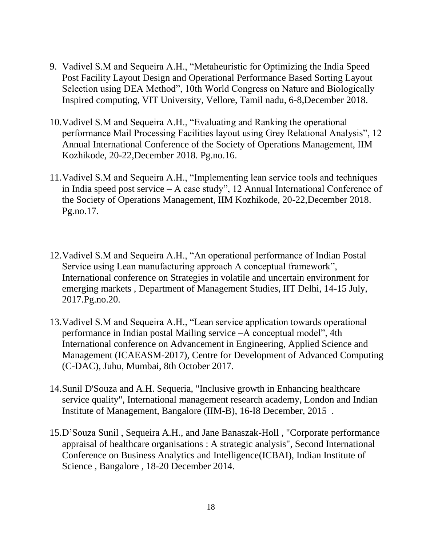- 9. Vadivel S.M and Sequeira A.H., "Metaheuristic for Optimizing the India Speed Post Facility Layout Design and Operational Performance Based Sorting Layout Selection using DEA Method", 10th World Congress on Nature and Biologically Inspired computing, VIT University, Vellore, Tamil nadu, 6-8,December 2018.
- 10.Vadivel S.M and Sequeira A.H., "Evaluating and Ranking the operational performance Mail Processing Facilities layout using Grey Relational Analysis", 12 Annual International Conference of the Society of Operations Management, IIM Kozhikode, 20-22,December 2018. Pg.no.16.
- 11.Vadivel S.M and Sequeira A.H., "Implementing lean service tools and techniques in India speed post service – A case study", 12 Annual International Conference of the Society of Operations Management, IIM Kozhikode, 20-22,December 2018. Pg.no.17.
- 12.Vadivel S.M and Sequeira A.H., "An operational performance of Indian Postal Service using Lean manufacturing approach A conceptual framework", International conference on Strategies in volatile and uncertain environment for emerging markets , Department of Management Studies, IIT Delhi, 14-15 July, 2017.Pg.no.20.
- 13.Vadivel S.M and Sequeira A.H., "Lean service application towards operational performance in Indian postal Mailing service –A conceptual model", 4th International conference on Advancement in Engineering, Applied Science and Management (ICAEASM-2017), Centre for Development of Advanced Computing (C-DAC), Juhu, Mumbai, 8th October 2017.
- 14.Sunil D'Souza and A.H. Sequeria, "Inclusive growth in Enhancing healthcare service quality", International management research academy, London and Indian Institute of Management, Bangalore (IIM-B), 16-I8 December, 2015 .
- 15.D'Souza Sunil , Sequeira A.H., and Jane Banaszak-Holl , "Corporate performance appraisal of healthcare organisations : A strategic analysis", Second International Conference on Business Analytics and Intelligence(ICBAI), Indian Institute of Science , Bangalore , 18-20 December 2014.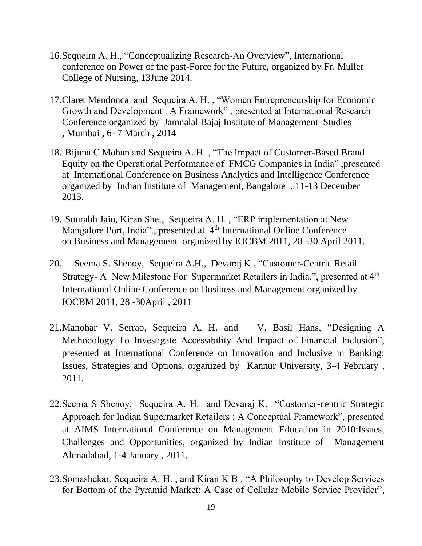- 16.Sequeira A. H., "Conceptualizing Research-An Overview", International conference on Power of the past-Force for the Future, organized by Fr. Muller College of Nursing, 13June 2014.
- 17.Claret Mendonca and Sequeira A. H. , "Women Entrepreneurship for Economic Growth and Development : A Framework" , presented at International Research Conference organized by Jamnalal Bajaj Institute of Management Studies , Mumbai , 6- 7 March , 2014
- 18. Bijuna C Mohan and Sequeira A. H. , "The Impact of Customer-Based Brand Equity on the Operational Performance of FMCG Companies in India" ,presented at International Conference on Business Analytics and Intelligence Conference organized by Indian Institute of Management, Bangalore , 11-13 December 2013.
- 19. Sourabh Jain, Kiran Shet, Sequeira A. H. , "ERP implementation at New Mangalore Port, India"., presented at 4<sup>th</sup> International Online Conference on Business and Management organized by IOCBM 2011, 28 -30 April 2011.
- 20. Seema S. Shenoy, Sequeira A.H., Devaraj K., "Customer-Centric Retail Strategy- A New Milestone For Supermarket Retailers in India.", presented at 4<sup>th</sup> International Online Conference on Business and Management organized by IOCBM 2011, 28 -30April , 2011
- 21.Manohar V. Serrao, Sequeira A. H. and V. Basil Hans, "Designing A Methodology To Investigate Accessibility And Impact of Financial Inclusion", presented at International Conference on Innovation and Inclusive in Banking: Issues, Strategies and Options, organized by Kannur University, 3-4 February , 2011.
- 22.Seema S Shenoy, Sequeira A. H. and Devaraj K, "Customer-centric Strategic Approach for Indian Supermarket Retailers : A Conceptual Framework", presented at AIMS International Conference on Management Education in 2010:Issues, Challenges and Opportunities, organized by Indian Institute of Management Ahmadabad, 1-4 January , 2011.
- 23.Somashekar, Sequeira A. H. , and Kiran K B , "A Philosophy to Develop Services for Bottom of the Pyramid Market: A Case of Cellular Mobile Service Provider",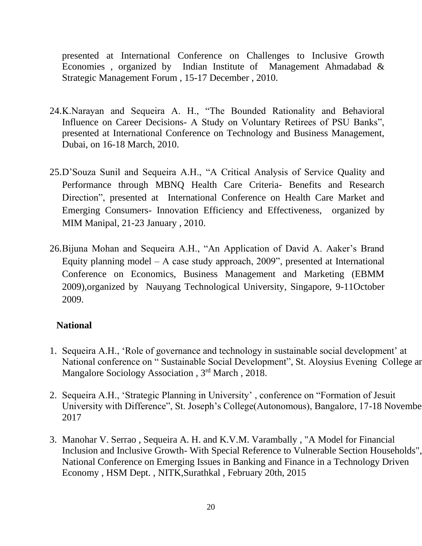presented at International Conference on Challenges to Inclusive Growth Economies , organized by Indian Institute of Management Ahmadabad & Strategic Management Forum , 15-17 December , 2010.

- 24.K.Narayan and Sequeira A. H., "The Bounded Rationality and Behavioral Influence on Career Decisions- A Study on Voluntary Retirees of PSU Banks", presented at International Conference on Technology and Business Management, Dubai, on 16-18 March, 2010.
- 25.D'Souza Sunil and Sequeira A.H., "A Critical Analysis of Service Quality and Performance through MBNQ Health Care Criteria- Benefits and Research Direction", presented at International Conference on Health Care Market and Emerging Consumers- Innovation Efficiency and Effectiveness, organized by MIM Manipal, 21-23 January , 2010.
- 26.Bijuna Mohan and Sequeira A.H., "An Application of David A. Aaker's Brand Equity planning model – A case study approach,  $2009$ ", presented at International Conference on Economics, Business Management and Marketing (EBMM 2009),organized by Nauyang Technological University, Singapore, 9-11October 2009.

## **National**

- 1. Sequeira A.H., 'Role of governance and technology in sustainable social development' at National conference on " Sustainable Social Development", St. Aloysius Evening College ar Mangalore Sociology Association, 3<sup>rd</sup> March, 2018.
- 2. Sequeira A.H., 'Strategic Planning in University' , conference on "Formation of Jesuit University with Difference", St. Joseph's College(Autonomous), Bangalore, 17-18 November 2017
- 3. Manohar V. Serrao , Sequeira A. H. and K.V.M. Varambally , "A Model for Financial Inclusion and Inclusive Growth- With Special Reference to Vulnerable Section Households", National Conference on Emerging Issues in Banking and Finance in a Technology Driven Economy , HSM Dept. , NITK,Surathkal , February 20th, 2015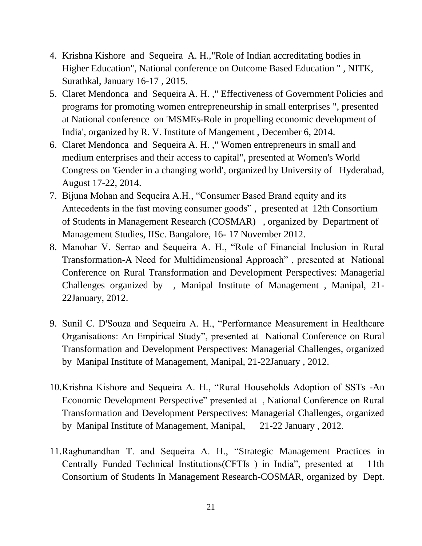- 4. Krishna Kishore and Sequeira A. H.,"Role of Indian accreditating bodies in Higher Education", National conference on Outcome Based Education " , NITK, Surathkal, January 16-17 , 2015.
- 5. Claret Mendonca and Sequeira A. H. ," Effectiveness of Government Policies and programs for promoting women entrepreneurship in small enterprises ", presented at National conference on 'MSMEs-Role in propelling economic development of India', organized by R. V. Institute of Mangement , December 6, 2014.
- 6. Claret Mendonca and Sequeira A. H. ," Women entrepreneurs in small and medium enterprises and their access to capital", presented at Women's World Congress on 'Gender in a changing world', organized by University of Hyderabad, August 17-22, 2014.
- 7. Bijuna Mohan and Sequeira A.H., "Consumer Based Brand equity and its Antecedents in the fast moving consumer goods" , presented at 12th Consortium of Students in Management Research (COSMAR) , organized by Department of Management Studies, IISc. Bangalore, 16- 17 November 2012.
- 8. Manohar V. Serrao and Sequeira A. H., "Role of Financial Inclusion in Rural Transformation-A Need for Multidimensional Approach" , presented at National Conference on Rural Transformation and Development Perspectives: Managerial Challenges organized by , Manipal Institute of Management , Manipal, 21- 22January, 2012.
- 9. Sunil C. D'Souza and Sequeira A. H., "Performance Measurement in Healthcare Organisations: An Empirical Study", presented at National Conference on Rural Transformation and Development Perspectives: Managerial Challenges, organized by Manipal Institute of Management, Manipal, 21-22January , 2012.
- 10.Krishna Kishore and Sequeira A. H., "Rural Households Adoption of SSTs -An Economic Development Perspective" presented at , National Conference on Rural Transformation and Development Perspectives: Managerial Challenges, organized by Manipal Institute of Management, Manipal, 21-22 January , 2012.
- 11.Raghunandhan T. and Sequeira A. H., "Strategic Management Practices in Centrally Funded Technical Institutions(CFTIs ) in India", presented at 11th Consortium of Students In Management Research-COSMAR, organized by Dept.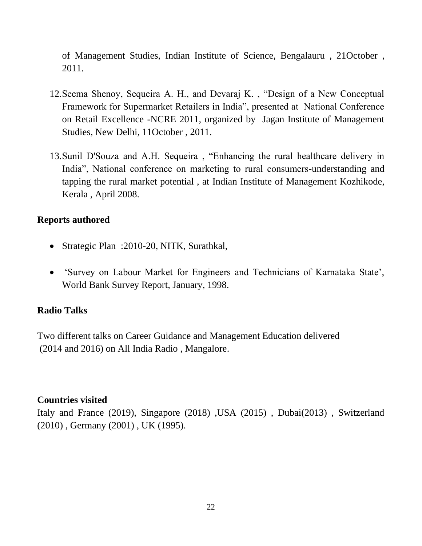of Management Studies, Indian Institute of Science, Bengalauru , 21October , 2011.

- 12.Seema Shenoy, Sequeira A. H., and Devaraj K. , "Design of a New Conceptual Framework for Supermarket Retailers in India", presented at National Conference on Retail Excellence -NCRE 2011, organized by Jagan Institute of Management Studies, New Delhi, 11October , 2011.
- 13.Sunil D'Souza and A.H. Sequeira , "Enhancing the rural healthcare delivery in India", National conference on marketing to rural consumers-understanding and tapping the rural market potential , at Indian Institute of Management Kozhikode, Kerala , April 2008.

#### **Reports authored**

- Strategic Plan : 2010-20, NITK, Surathkal,
- 'Survey on Labour Market for Engineers and Technicians of Karnataka State', World Bank Survey Report, January, 1998.

#### **Radio Talks**

Two different talks on Career Guidance and Management Education delivered (2014 and 2016) on All India Radio , Mangalore.

#### **Countries visited**

Italy and France (2019), Singapore (2018) , USA (2015) , Dubai(2013) , Switzerland (2010) , Germany (2001) , UK (1995).